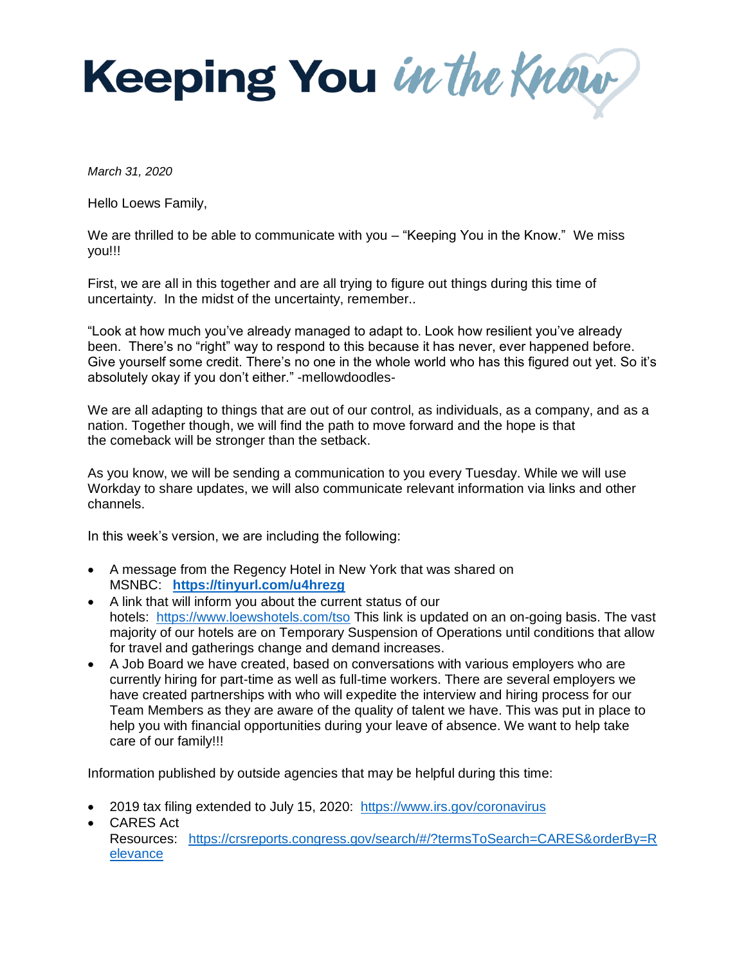Keeping You in the Know

*March 31, 2020* 

Hello Loews Family,

We are thrilled to be able to communicate with you – "Keeping You in the Know." We miss you!!!

First, we are all in this together and are all trying to figure out things during this time of uncertainty. In the midst of the uncertainty, remember..

"Look at how much you've already managed to adapt to. Look how resilient you've already been. There's no "right" way to respond to this because it has never, ever happened before. Give yourself some credit. There's no one in the whole world who has this figured out yet. So it's absolutely okay if you don't either." -mellowdoodles-

We are all adapting to things that are out of our control, as individuals, as a company, and as a nation. Together though, we will find the path to move forward and the hope is that the comeback will be stronger than the setback.

As you know, we will be sending a communication to you every Tuesday. While we will use Workday to share updates, we will also communicate relevant information via links and other channels.

In this week's version, we are including the following:

- A message from the Regency Hotel in New York that was shared on MSNBC: **<https://tinyurl.com/u4hrezg>**
- A link that will inform you about the current status of our hotels: <https://www.loewshotels.com/tso> This link is updated on an on-going basis. The vast majority of our hotels are on Temporary Suspension of Operations until conditions that allow for travel and gatherings change and demand increases.
- A Job Board we have created, based on conversations with various employers who are currently hiring for part-time as well as full-time workers. There are several employers we have created partnerships with who will expedite the interview and hiring process for our Team Members as they are aware of the quality of talent we have. This was put in place to help you with financial opportunities during your leave of absence. We want to help take care of our family!!!

Information published by outside agencies that may be helpful during this time:

- 2019 tax filing extended to July 15, 2020: <https://www.irs.gov/coronavirus>
- CARES Act Resources: [https://crsreports.congress.gov/search/#/?termsToSearch=CARES&orderBy=R](https://crsreports.congress.gov/search/#/?termsToSearch=CARES&orderBy=Relevance) [elevance](https://crsreports.congress.gov/search/#/?termsToSearch=CARES&orderBy=Relevance)